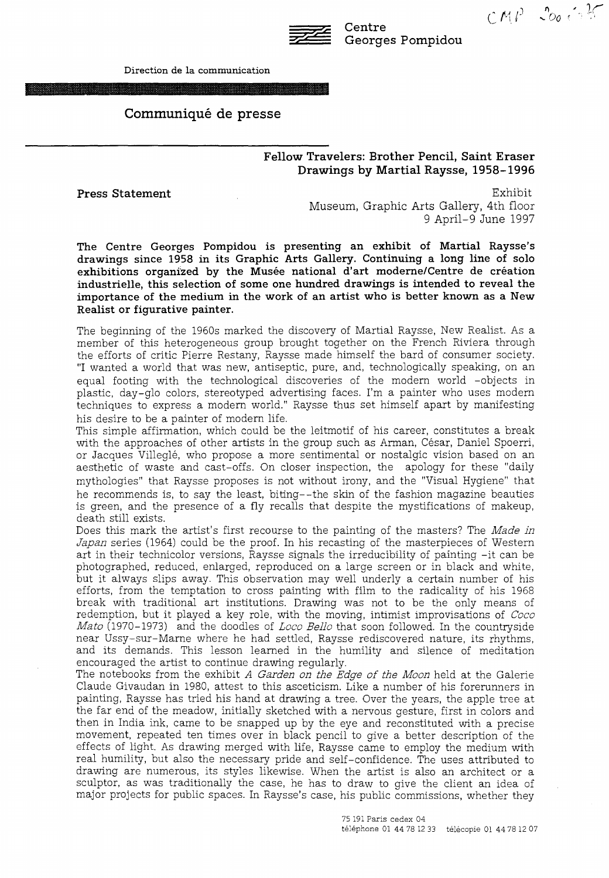

Centre Georges Pompidou  $CMP - 200.677$ 

# Communiqué de presse

## Fellow Travelers: Brother Pencil, Saint Eraser Drawings by Martial Raysse, 1958-1996

Press Statement

Exhibit Museum, Graphic Arts Gallery, 4th floor 9 April-9 June 1997

The Centre Georges Pompidou is presenting an exhibit of Martial Raysse's drawings since 1958 in its Graphic Arts Gallery. Continuing a long line of solo exhibitions organized by the Musée national d'art moderne/Centre de création industrielle, this selection of some one hundred drawings is intended to reveal the importance of the medium in the work of an artist who is better known as a New Realist or figurative painter.

The beginning of the 1960s marked the discovery of Martial Raysse, New Realist. As a member of this heterogeneous group brought together on the French Riviera through the efforts of critic Pierre Restany, Raysse made himself the bard of consumer society. "I wanted a world that was new, antiseptic, pure, and, technologically speaking, on an equal footing with the technological discoveries of the modem world -objects in plastic, day-glo colors, stereotyped advertising faces. I'm a painter who uses modern techniques to express a modem world." Raysse thus set himself apart by manifesting his desire to be a painter of modem life.

This simple affirmation, which could be the leitmotif of his career, constitutes a break with the approaches of other artists in the group such as Arman, César, Daniel Spoerri, or Jacques Villeglé, who propose a more sentimental or nostalgic vision based on an aesthetic of waste and cast-offs. On doser inspection, the apology for these "daily mythologies" that Raysse proposes is not without irony, and the "Visual Hygiene" that he recommends is, to say the least, biting--the skin of the fashion magazine beauties is green, and the presence of a fly recalls that despite the mystifications of makeup, death still exists.

Does this mark the artist's first recourse to the painting of the masters? The *Made in Japan* series (1964) could be the proof. In his recasting of the masterpieces of Western art in their technicolor versions, Raysse signals the irreducibility of painting -it can be photographed, reduced, enlarged, reproduced on a large screen or in black and white, but it always slips away. This observation may well underly a certain number of his efforts, from the temptation to cross painting with film to the radicality of his 1968 break with traditional art institutions. Drawing was not to be the only means of redemption, but it played a key role, with the moving, intimist improvisations of *Coco Mato* (1970-1973) and the doodles of *Loco Bello* that soon followed. In the countryside near Ussy-sur-Marne where he had settled, Raysse rediscovered nature, its rhythms, and its demands. This lesson learned in the humility and silence of meditation encouraged the artist to continue drawing regularly.

The notebooks from the exhibit *A Garden on the Edge of the Moon* held at the Galerie Claude Givaudan in 1980, attest to this asceticism. Like a number of his forerunners in painting, Raysse has tried his band at drawing a tree. Over the years, the apple tree at the far end of the meadow, initially sketched with a nervous gesture, first in colors and then in India ink, came to be snapped up by the eye and reconstituted with a precise movement, repeated ten times over in black pencil to give a better description of the effects of light. As drawing merged with life, Raysse came to employ the medium with real humility, but also the necessary pride and self-confidence. The uses attributed to drawing are numerous, its styles likewise. When the artist is also an architect or a sculptor, as was traditionally the case, he has to draw to give the client an idea of major projects for public spaces. In Raysse's case, his public commissions, whether they